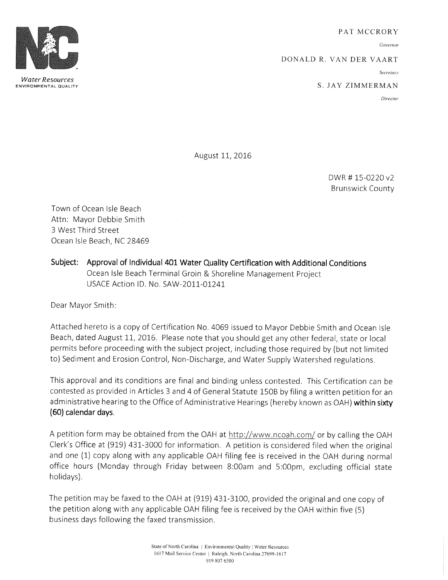PAT MCCRORY

Governor

DONALD R. VAN DER VAART

Secretary

S. JAY ZIMMERMAN

Director

August 11, 2016

DWR #15-0220 v2 Brunswick County

Town of Ocean Isle Beach Attn: Mayor Debbie Smith 3 West Third Street Ocean Isle Beach, NC 28469

Subject: Approval of Individual 401 Water Quality Certification with Additional Conditions Ocean Isle Beach Terminal Groin & Shoreline Management Project USACE Action ID. No. SAW-2011-01241

Dear Mayor Smith:

Attached hereto is <sup>a</sup> copy of Certification No. 4069 issued to Mayor Debbie Smith and Ocean Isle Beach, dated August 11, 2016. Please note that you should get any other federal, state or local permits before proceeding with the subject project, including those required by ( but not limited to) Sediment and Erosion Control, Non -Discharge, and Water Supply Watershed regulations.

This approval and its conditions are final and binding unless contested. This Certification can be contested as provided in Articles <sup>3</sup> and 4 of General Statute 150B by filing <sup>a</sup> written petition for an administrative hearing to the Office of Administrative Hearings (hereby known as OAH) within sixty 60) calendar days.

A petition form may be obtained from the OAH at http://www.ncoah.com/ or by calling the OAH Clerk's Office at (919) 431-3000 for information. A petition is considered filed when the original and one (1) copy along with any applicable OAH filing fee is received in the OAH during normal office hours (Monday through Friday between 8:00am and 5:00pm, excluding official state holidays).

The petition may be faxed to the OAH at (919) 431- 3100, provided the original and one copy of the petition along with any applicable OAH filing fee is received by the OAH within five (5) business days following the faxed transmission.



Water Resources ENVIRONMENTAL QUALITY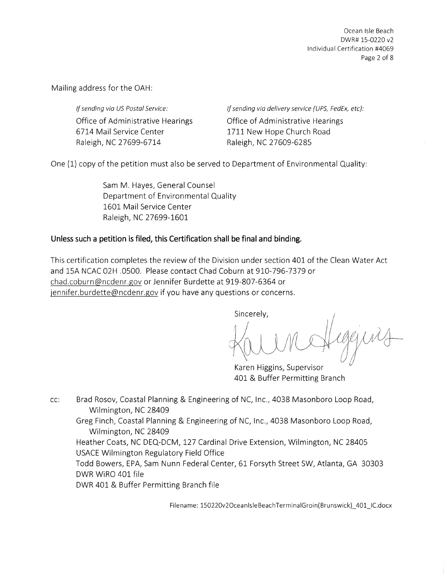Ocean Isle Beach DWR# 15-0220 v2 Individual Certification #4069 Page 2 of 8

Mailing address for the OAH:

If sending via US Postal Service: Office of Administrative Hearings 6714 Mail Service Center Raleigh, NC 27699-6714

If sending via delivery service (UPS, FedEx, etc): Office of Administrative Hearings 1711 New Hope Church Road Raleigh, NC 27609-6285

One ( 1) copy of the petition must also be served to Department of Environmental Quality:

Sam M. Hayes, General Counsel Department of Environmental Quality 1601 Mail Service Center Raleigh, NC 27699-1601

#### Unless such <sup>a</sup> petition is filed, this Certification shall be final and binding.

This certification completes the review of the Division under section 401 of the Clean Water Act and 15A NCAC 02H .0500. Please contact Chad Coburn at 910-796-7379 or chad.coburn@ncdenr.gov or Jennifer Burdette at 919-807-6364 or jennifer.burdette@ncdenr.gov if you have any questions or concerns.

Sincerely,

Karen Higgins, Supervisor 401 & Buffer Permitting Branch

cc: Brad Rosov, Coastal Planning & Engineering of NC, Inc., 4038 Masonboro Loop Road, Wilmington, NC 28409

Greg Finch, Coastal Planning & Engineering of NC, Inc., 4038 Masonboro Loop Road, Wilmington, NC 28409

Heather Coats, NC DEQ-DCM, 127 Cardinal Drive Extension, Wilmington, NC 28405 USACE Wilmington Regulatory Field Office

Todd Bowers, EPA, Sam Nunn Federal Center, 61 Forsyth Street SW, Atlanta, GA 30303 DWR WiRO 401 file

DWR 401 & Buffer Permitting Branch file

Filename: 150220v2OceanIsleBeachTerminalGroin(Brunswick) 401 IC.docx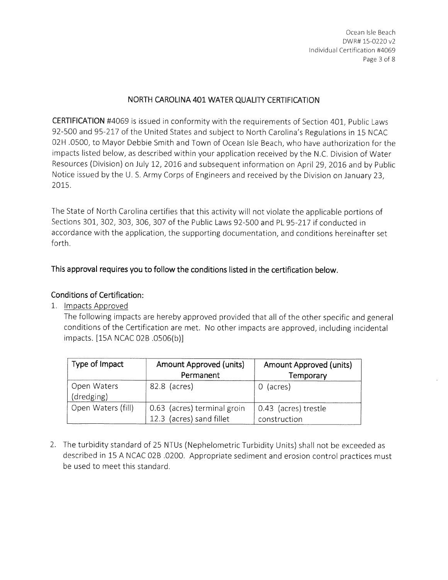Ocean Isle Beach DWR# 15- 0220 v2 Individual Certification #4069 Page <sup>3</sup> of 8

#### NORTH CAROLINA 401 WATER QUALITY CERTIFICATION

CERTIFICATION #4069 is issued in conformity with the requirements of Section 401, Public Laws 92-500 and 95-217 of the United States and subject to North Carolina's Regulations in 15 NCAC 02H . 0500, to Mayor Debbie Smith and Town of Ocean Isle Beach, who have authorization for the impacts listed below, as described within your application received by the N.C. Division of Water Resources ( Division) on July 12, 2016 and subsequent information on April 29, 2016 and by Public Notice issued by the U. S. Army Corps of Engineers and received by the Division on January 23, 2015.

The State of North Carolina certifies that this activity will not violate the applicable portions of Sections 301, 302, 303, 306, 307 of the Public Laws 92-500 and PL 95-217 if conducted in accordance with the application, the supporting documentation, and conditions hereinafter set forth.

This approval requires you to follow the conditions listed in the certification below.

#### Conditions of Certification:

1. Impacts Approved

The following impacts are hereby approved provided that all of the other specific and general conditions of the Certification are met. No other impacts are approved, including incidental impacts. [15A NCAC 02B .0506(b)]

| Type of Impact            | <b>Amount Approved (units)</b><br>Permanent             | <b>Amount Approved (units)</b><br>Temporary |
|---------------------------|---------------------------------------------------------|---------------------------------------------|
| Open Waters<br>(dredging) | 82.8 (acres)                                            | (acres)<br>$\Omega$                         |
| Open Waters (fill)        | 0.63 (acres) terminal groin<br>12.3 (acres) sand fillet | 0.43 (acres) trestle<br>construction        |

2. The turbidity standard of 25 NTUs ( Nephelometric Turbidity Units) shall not be exceeded as described in 15 A NCAC 02B . 0200. Appropriate sediment and erosion control practices must be used to meet this standard.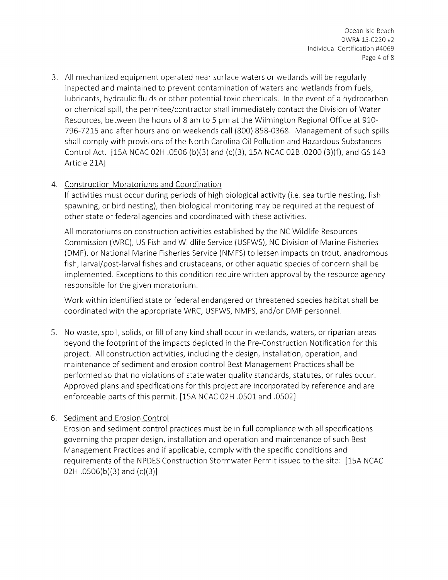3. All mechanized equipment operated near surface waters or wetlands will be regularly inspected and maintained to prevent contamination of waters and wetlands from fuels, lubricants, hydraulic fluids or other potential toxic chemicals. In the event of <sup>a</sup> hydrocarbon or chemical spill, the permitee/ contractor shall immediately contact the Division of Water Resources, between the hours of 8 am to <sup>5</sup> pm at the Wilmington Regional Office at 910- 796- 7215 and after hours and on weekends call ( 800) 858- 0368. Management of such spills shall comply with provisions of the North Carolina Oil Pollution and Hazardous Substances Control Act. [15A NCAC 02H .0506 (b)(3) and (c)(3), 15A NCAC 02B .0200 (3)(f), and GS 143 Article 21A]

# 4. Construction Moratoriums and Coordination

If activities must occur during periods of high biological activity (i.e. sea turtle nesting, fish spawning, or bird nesting), then biological monitoring may be required at the request of other state or federal agencies and coordinated with these activities.

All moratoriums on construction activities established by the NC Wildlife Resources Commission ( WRC), US Fish and Wildlife Service ( USFWS), NC Division of Marine Fisheries DMF), or National Marine Fisheries Service ( NMFS) to lessen impacts on trout, anadromous fish, larval/post-larval fishes and crustaceans, or other aquatic species of concern shall be implemented. Exceptions to this condition require written approval by the resource agency responsible for the given moratorium.

Work within identified state or federal endangered or threatened species habitat shall be coordinated with the appropriate WRC, USFWS, NMFS, and/or DMF personnel.

5. No waste, spoil, solids, or fill of any kind shall occur in wetlands, waters, or riparian areas beyond the footprint of the impacts depicted in the Pre -Construction Notification for this project. All construction activities, including the design, installation, operation, and maintenance of sediment and erosion control Best Management Practices shall be performed so that no violations of state water quality standards, statutes, or rules occur. Approved plans and specifications for this project are incorporated by reference and are enforceable parts of this permit. [15A NCAC 02H . 0501 and . 0502]

# 6. Sediment and Erosion Control

Erosion and sediment control practices must be in full compliance with all specifications governing the proper design, installation and operation and maintenance of such Best Management Practices and if applicable, comply with the specific conditions and requirements of the NPDES Construction Stormwater Permit issued to the site: [ 15A NCAC 02H  $.0506(b)(3)$  and  $(c)(3)$ ]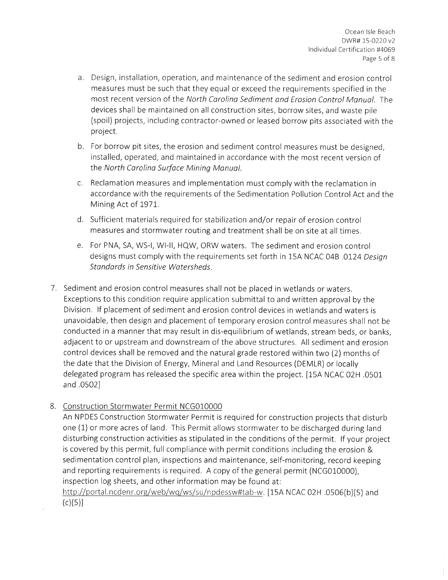- Design, installation, operation, and maintenance of the sediment and erosion control measures must be such that they equal or exceed the requirements specified in the most recent version of the North Carolina Sediment and Erosion Control Manual. The devices shall be maintained on all construction sites, borrow sites, and waste pile spoil) projects, including contractor -owned or leased borrow pits associated with the project.
- b. For borrow pit sites, the erosion and sediment control measures must be designed, installed, operated, and maintained in accordance with the most recent version of the North Carolina Surface Mining Manual.
- Reclamation measures and implementation must comply with the reclamation in accordance with the requirements of the Sedimentation Pollution Control Act and the Mining Act of 1971.
- d. Sufficient materials required for stabilization and/or repair of erosion control measures and stormwater routing and treatment shall be on site at all times.
- e. For PNA, SA, WS-I, WI-II, HQW, ORW waters. The sediment and erosion control designs must comply with the requirements set forth in 15A NCAC 04B .0124 Design Standards in Sensitive Watersheds.
- 7. Sediment and erosion control measures shall not be placed in wetlands or waters. Exceptions to this condition require application submittal to and written approval by the Division. If placement of sediment and erosion control devices in wetlands and waters is unavoidable, then design and placement of temporary erosion control measures shall not be conducted in <sup>a</sup> manner that may result in dis- equilibrium of wetlands, stream beds, or banks, adjacent to or upstream and downstream of the above structures. All sediment and erosion control devices shall be removed and the natural grade restored within two (2) months of the date that the Division of Energy, Mineral and Land Resources ( DEMLR) or locally delegated program has released the specific area within the project. [ 15A NCAC 02H . 0501 and .0502]
- 8. Construction Stormwater Permit NCGO10000

An NPDES Construction Stormwater Permit is required for construction projects that disturb one (1) or more acres of land. This Permit allows stormwater to be discharged during land disturbing construction activities as stipulated in the conditions of the permit. If your project is covered by this permit, full compliance with permit conditions including the erosion & sedimentation control plan, inspections and maintenance, self-monitoring, record keeping and reporting requirements is required. A copy of the general permit (NCG010000), inspection log sheets, and other information may be found at:

http://portal.ncdenr.org/web/wq/ws/su/npdessw#tab-w. [15A NCAC 02H .0506(b)(5) and  $(c)(5)]$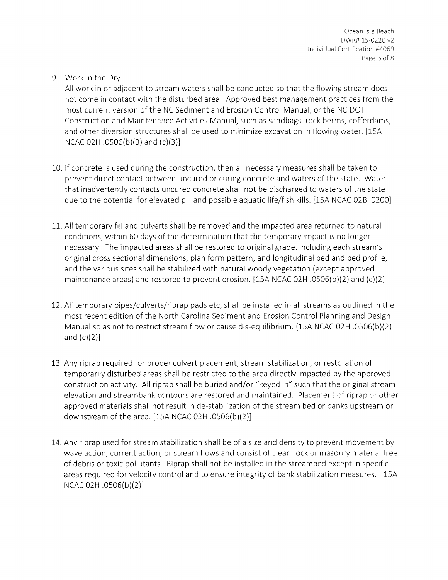Ocean Isle Beach DWR# 15-0220 v2 Individual Certification #4069 Page 6 of 8

9. Work in the Dry

All work in or adjacent to stream waters shall be conducted so that the flowing stream does not come in contact with the disturbed area. Approved best management practices from the most current version of the NC Sediment and Erosion Control Manual, or the NC DOT Construction and Maintenance Activities Manual, such as sandbags, rock berms, cofferdams, and other diversion structures shall be used to minimize excavation in flowing water. [15A NCAC 02H  $.0506(b)(3)$  and  $(c)(3)$ ]

- 10. If concrete is used during the construction, then all necessary measures shall be taken to prevent direct contact between uncured or curing concrete and waters of the state. Water that inadvertently contacts uncured concrete shall not be discharged to waters of the state due to the potential for elevated pH and possible aquatic life/ fish kills. [ 15A NCAC 02B .0200]
- 11. All temporary fill and culverts shall be removed and the impacted area returned to natural conditions, within 60 days of the determination that the temporary impact is no longer necessary. The impacted areas shall be restored to original grade, including each stream's original cross sectional dimensions, plan form pattern, and longitudinal bed and bed profile, and the various sites shall be stabilized with natural woody vegetation (except approved maintenance areas) and restored to prevent erosion. [15A NCAC 02H .0506(b)(2) and  $(c)(2)$
- 12. All temporary pipes/culverts/riprap pads etc, shall be installed in all streams as outlined in the most recent edition of the North Carolina Sediment and Erosion Control Planning and Design Manual so as not to restrict stream flow or cause dis-equilibrium. [15A NCAC 02H .0506(b)(2) and  $(c)(2)$ ]
- 13. Any riprap required for proper culvert placement, stream stabilization, or restoration of temporarily disturbed areas shall be restricted to the area directly impacted by the approved construction activity. All riprap shall be buried and/or "keyed in" such that the original stream elevation and streambank contours are restored and maintained. Placement of riprap or other approved materials shall not result in de -stabilization of the stream bed or banks upstream or downstream of the area.  $[15A NCAC 02H .0506(b)(2)]$
- 14. Any riprap used for stream stabilization shall be of <sup>a</sup> size and density to prevent movement by wave action, current action, or stream flows and consist of clean rock or masonry material free of debris or toxic pollutants. Riprap shall not be installed in the streambed except in specific areas required for velocity control and to ensure integrity of bank stabilization measures. [ 15A  $NCAC 02H .0506(b)(2)$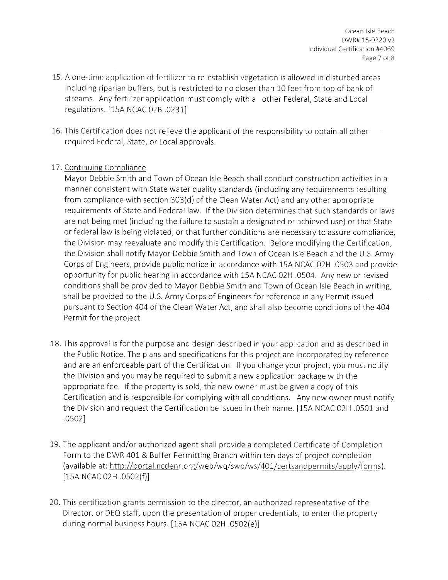- 15. A one-time application of fertilizer to re- establish vegetation is allowed in disturbed areas including riparian buffers, but is restricted to no closer than 10 feet from top of bank of streams. Any fertilizer application must comply with all other Federal, State and Local regulations. [ 15A NCAC 02B . 0231]
- 16. This Certification does not relieve the applicant of the responsibility to obtain all other required Federal, State, or Local approvals.

# 17. Continuing Compliance

Mayor Debbie Smith and Town of Ocean Isle Beach shall conduct construction activities in <sup>a</sup> manner consistent with State water quality standards ( including any requirements resulting from compliance with section 303(d) of the Clean Water Act) and any other appropriate requirements of State and Federal law. If the Division determines that such standards or laws are not being met (including the failure to sustain <sup>a</sup> designated or achieved use) or that State or federal law is being violated, or that further conditions are necessary to assure compliance, the Division may reevaluate and modify this Certification. Before modifying the Certification, the Division shall notify Mayor Debbie Smith and Town of Ocean Isle Beach and the U.S. Army Corps of Engineers, provide public notice in accordance with 15A NCAC 02H . 0503 and provide opportunity for public hearing in accordance with 15A NCAC 02H . 0504. Any new or revised conditions shall be provided to Mayor Debbie Smith and Town of Ocean Isle Beach in writing, shall be provided to the U.S. Army Corps of Engineers for reference in any Permit issued pursuant to Section 404 of the Clean Water Act, and shall also become conditions of the 404 Permit for the project.

- 18. This approval is for the purpose and design described in your application and as described in the Public Notice. The plans and specifications for this project are incorporated by reference and are an enforceable part of the Certification. If you change your project, you must notify the Division and you may be required to submit <sup>a</sup> new application package with the appropriate fee. If the property is sold, the new owner must be given <sup>a</sup> copy of this Certification and is responsible for complying with all conditions. Any new owner must notify the Division and request the Certification be issued in their name. [ 15A NCAC 02H . 0501 and 0502]
- 19. The applicant and/or authorized agent shall provide a completed Certificate of Completion Form to the DWR 401 & Buffer Permitting Branch within ten days of project completion (available at: http://portal.ncdenr.org/web/wq/swp/ws/401/certsandpermits/apply/forms). 15A NCAC 02H . 0502(f)]
- 20. This certification grants permission to the director, an authorized representative of the Director, or DEQ staff, upon the presentation of proper credentials, to enter the property during normal business hours. [15A NCAC 02H .0502(e)]